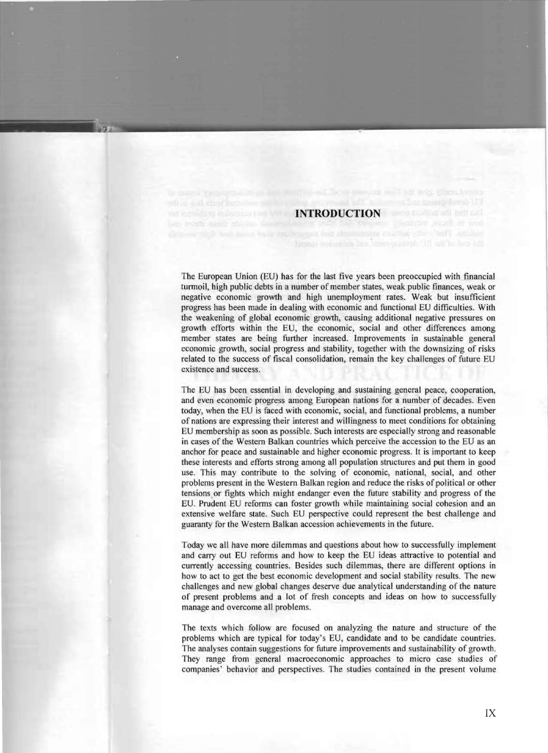## **INTRODUCTION**

firmult websetted best interrogated and said to has add

The European Union (EU) has for the last five years been preoccupied with financial turmoil, high public debts in a number of member states, weak public finances, weak or negative economic growth and high unemployment rates. Weak but insufficient progress has been made in dealing with economic and functional EU difficulties. With the weakening of global economic growth, causing additional negative pressures on growth efforts within the EU, the economic, social and other differences among member states are being further increased. Improvements in sustainable general economic growth, social progress and stability, together with the downsizing of risks related to the success of fiscal consolidation, remain the key challenges of future EU existence and success.

The EU has been essential in developing and sustaining general peace, cooperation, and even economic progress among European nations for a number of decades. Even today, when the EU is faced with economic, social, and functional problems, a number of nations are expressing their interest and will ingness to meet conditions for obtaining EU membership as soon as possible. Such interests are especially strong and reasonable in cases of the Western Balkan countries which perceive the accession to the EU as an anchor for peace and sustainable and higher economic progress. It is important to keep these interests and efforts strong among all population structures and put them in good use. This may contribute to the solving of economic, national, social, and other problems present in the Western Balkan region and reduce the risks of political or other tensions or fights which might endanger even the future stability and progress of the EU. Prudent EU reforms can foster growth while maintaining social cohesion and an extensive welfare state. Such EU perspective could represent the best challenge and guaranty for the Western Balkan accession achievements in the future.

Today we all have more dilemmas and questions about how to successfully implement and cany out EU reforms and how to keep the EU ideas attractive to potential and currently accessing countries. Besides such dilemmas, there are different options in how to act to get the best economic development and social stability results. The new challenges and new global changes deserve due analytical understanding of the nature of present problems and a lot of fresh concepts and ideas on how to successfully manage and overcome all problems.

The texts which follow are focused on analyzing the nature and structure of the problems which are typical for today's EU, candidate and to be candidate countries. The analyses contain suggestions for future improvements and sustainability of growth. They range from general macroeconomic approaches to micro case studies of companies' behavior and perspectives. The studies contained in the present volume